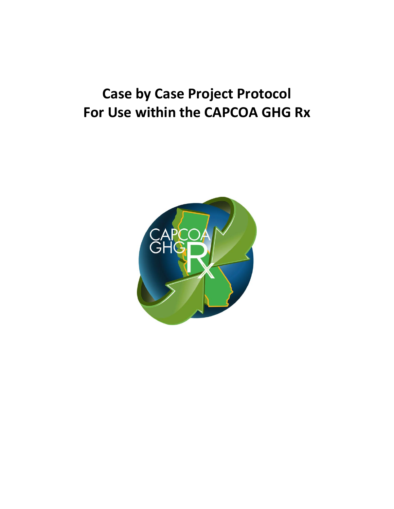## **Case by Case Project Protocol For Use within the CAPCOA GHG Rx**

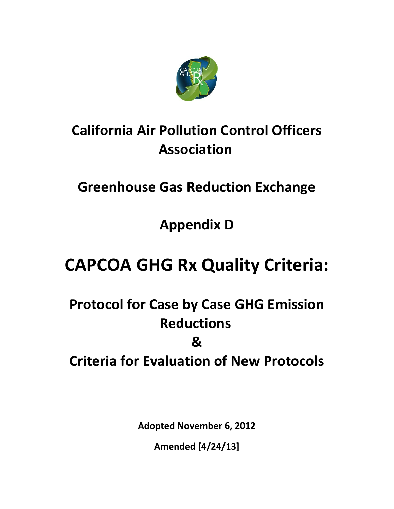

## **California Air Pollution Control Officers Association**

## **Greenhouse Gas Reduction Exchange**

**Appendix D**

# **CAPCOA GHG Rx Quality Criteria:**

## **Protocol for Case by Case GHG Emission Reductions & Criteria for Evaluation of New Protocols**

**Adopted November 6, 2012**

**Amended [4/24/13]**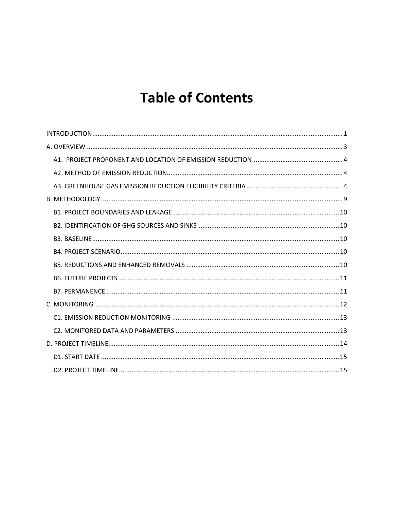## **Table of Contents**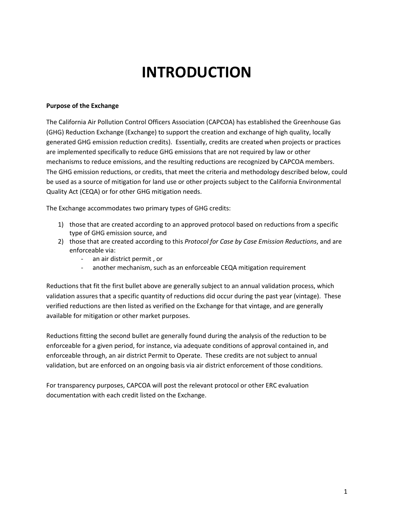## **INTRODUCTION**

#### **Purpose of the Exchange**

The California Air Pollution Control Officers Association (CAPCOA) has established the Greenhouse Gas (GHG) Reduction Exchange (Exchange) to support the creation and exchange of high quality, locally generated GHG emission reduction credits). Essentially, credits are created when projects or practices are implemented specifically to reduce GHG emissions that are not required by law or other mechanisms to reduce emissions, and the resulting reductions are recognized by CAPCOA members. The GHG emission reductions, or credits, that meet the criteria and methodology described below, could be used as a source of mitigation for land use or other projects subject to the California Environmental Quality Act (CEQA) or for other GHG mitigation needs.

The Exchange accommodates two primary types of GHG credits:

- 1) those that are created according to an approved protocol based on reductions from a specific type of GHG emission source, and
- 2) those that are created according to this *Protocol for Case by Case Emission Reductions*, and are enforceable via:
	- an air district permit , or
	- another mechanism, such as an enforceable CEQA mitigation requirement

Reductions that fit the first bullet above are generally subject to an annual validation process, which validation assures that a specific quantity of reductions did occur during the past year (vintage). These verified reductions are then listed as verified on the Exchange for that vintage, and are generally available for mitigation or other market purposes.

Reductions fitting the second bullet are generally found during the analysis of the reduction to be enforceable for a given period, for instance, via adequate conditions of approval contained in, and enforceable through, an air district Permit to Operate. These credits are not subject to annual validation, but are enforced on an ongoing basis via air district enforcement of those conditions.

For transparency purposes, CAPCOA will post the relevant protocol or other ERC evaluation documentation with each credit listed on the Exchange.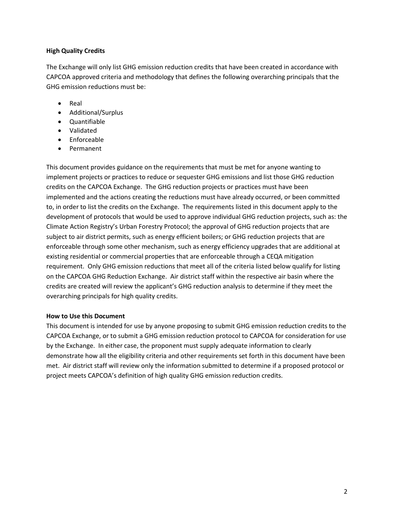#### **High Quality Credits**

The Exchange will only list GHG emission reduction credits that have been created in accordance with CAPCOA approved criteria and methodology that defines the following overarching principals that the GHG emission reductions must be:

- Real
- Additional/Surplus
- Quantifiable
- Validated
- $\bullet$  Enforceable
- Permanent

This document provides guidance on the requirements that must be met for anyone wanting to implement projects or practices to reduce or sequester GHG emissions and list those GHG reduction credits on the CAPCOA Exchange. The GHG reduction projects or practices must have been implemented and the actions creating the reductions must have already occurred, or been committed to, in order to list the credits on the Exchange. The requirements listed in this document apply to the development of protocols that would be used to approve individual GHG reduction projects, such as: the Climate Action Registry's Urban Forestry Protocol; the approval of GHG reduction projects that are subject to air district permits, such as energy efficient boilers; or GHG reduction projects that are enforceable through some other mechanism, such as energy efficiency upgrades that are additional at existing residential or commercial properties that are enforceable through a CEQA mitigation requirement. Only GHG emission reductions that meet all of the criteria listed below qualify for listing on the CAPCOA GHG Reduction Exchange. Air district staff within the respective air basin where the credits are created will review the applicant's GHG reduction analysis to determine if they meet the overarching principals for high quality credits.

#### **How to Use this Document**

This document is intended for use by anyone proposing to submit GHG emission reduction credits to the CAPCOA Exchange, or to submit a GHG emission reduction protocol to CAPCOA for consideration for use by the Exchange. In either case, the proponent must supply adequate information to clearly demonstrate how all the eligibility criteria and other requirements set forth in this document have been met. Air district staff will review only the information submitted to determine if a proposed protocol or project meets CAPCOA's definition of high quality GHG emission reduction credits.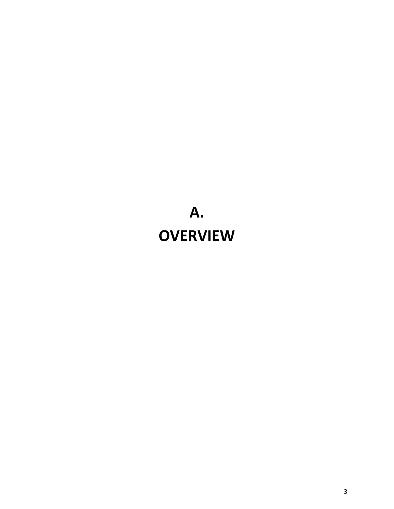# <span id="page-5-0"></span>**A. OVERVIEW**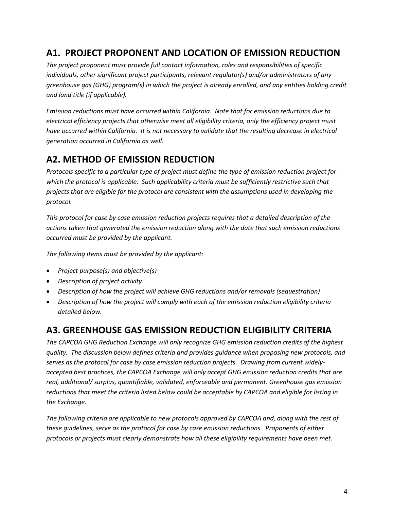### <span id="page-6-0"></span>**A1. PROJECT PROPONENT AND LOCATION OF EMISSION REDUCTION**

*The project proponent must provide full contact information, roles and responsibilities of specific individuals, other significant project participants, relevant regulator(s) and/or administrators of any greenhouse gas (GHG) program(s) in which the project is already enrolled, and any entities holding credit and land title (if applicable).*

*Emission reductions must have occurred within California. Note that for emission reductions due to electrical efficiency projects that otherwise meet all eligibility criteria, only the efficiency project must have occurred within California. It is not necessary to validate that the resulting decrease in electrical generation occurred in California as well.*

## <span id="page-6-1"></span>**A2. METHOD OF EMISSION REDUCTION**

*Protocols specific to a particular type of project must define the type of emission reduction project for which the protocol is applicable. Such applicability criteria must be sufficiently restrictive such that projects that are eligible for the protocol are consistent with the assumptions used in developing the protocol.*

*This protocol for case by case emission reduction projects requires that a detailed description of the actions taken that generated the emission reduction along with the date that such emission reductions occurred must be provided by the applicant.*

*The following items must be provided by the applicant:*

- *Project purpose(s) and objective(s)*
- *Description of project activity*
- *Description of how the project will achieve GHG reductions and/or removals (sequestration)*
- *Description of how the project will comply with each of the emission reduction eligibility criteria detailed below.*

### <span id="page-6-2"></span>**A3. GREENHOUSE GAS EMISSION REDUCTION ELIGIBILITY CRITERIA**

*The CAPCOA GHG Reduction Exchange will only recognize GHG emission reduction credits of the highest quality. The discussion below defines criteria and provides guidance when proposing new protocols, and serves as the protocol for case by case emission reduction projects. Drawing from current widelyaccepted best practices, the CAPCOA Exchange will only accept GHG emission reduction credits that are real, additional/ surplus, quantifiable, validated, enforceable and permanent. Greenhouse gas emission reductions that meet the criteria listed below could be acceptable by CAPCOA and eligible for listing in the Exchange.*

*The following criteria are applicable to new protocols approved by CAPCOA and, along with the rest of these guidelines, serve as the protocol for case by case emission reductions. Proponents of either protocols or projects must clearly demonstrate how all these eligibility requirements have been met.*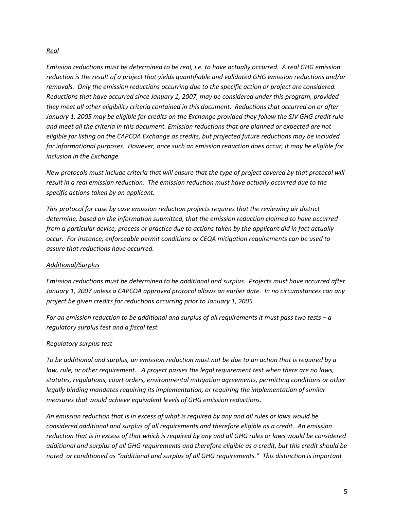#### *Real*

*Emission reductions must be determined to be real, i.e. to have actually occurred. A real GHG emission reduction is the result of a project that yields quantifiable and validated GHG emission reductions and/or removals. Only the emission reductions occurring due to the specific action or project are considered. Reductions that have occurred since January 1, 2007, may be considered under this program, provided they meet all other eligibility criteria contained in this document. Reductions that occurred on or after January 1, 2005 may be eligible for credits on the Exchange provided they follow the SJV GHG credit rule and meet all the criteria in this document. Emission reductions that are planned or expected are not eligible for listing on the CAPCOA Exchange as credits, but projected future reductions may be included for informational purposes. However, once such an emission reduction does occur, it may be eligible for inclusion in the Exchange.* 

*New protocols must include criteria that will ensure that the type of project covered by that protocol will result in a real emission reduction. The emission reduction must have actually occurred due to the specific actions taken by an applicant.* 

*This protocol for case by case emission reduction projects requires that the reviewing air district determine, based on the information submitted, that the emission reduction claimed to have occurred from a particular device, process or practice due to actions taken by the applicant did in fact actually occur. For instance, enforceable permit conditions or CEQA mitigation requirements can be used to assure that reductions have occurred.*

#### *Additional/Surplus*

*Emission reductions must be determined to be additional and surplus. Projects must have occurred after January 1, 2007 unless a CAPCOA approved protocol allows an earlier date. In no circumstances can any project be given credits for reductions occurring prior to January 1, 2005.*

*For an emission reduction to be additional and surplus of all requirements it must pass two tests – a regulatory surplus test and a fiscal test.*

#### *Regulatory surplus test*

*To be additional and surplus, an emission reduction must not be due to an action that is required by a law, rule, or other requirement. A project passes the legal requirement test when there are no laws, statutes, regulations, court orders, environmental mitigation agreements, permitting conditions or other legally binding mandates requiring its implementation, or requiring the implementation of similar measures that would achieve equivalent levels of GHG emission reductions.*

*An emission reduction that is in excess of what is required by any and all rules or laws would be considered additional and surplus of all requirements and therefore eligible as a credit. An emission reduction that is in excess of that which is required by any and all GHG rules or laws would be considered additional and surplus of all GHG requirements and therefore eligible as a credit, but this credit should be noted or conditioned as "additional and surplus of all GHG requirements." This distinction is important*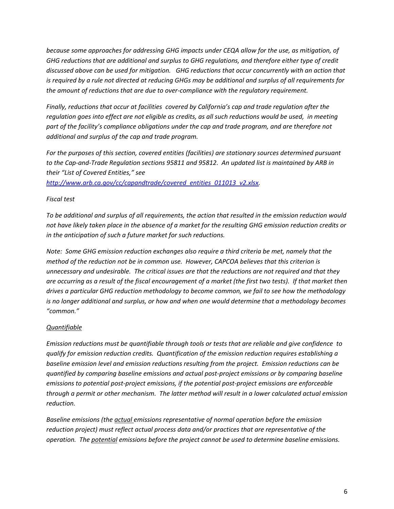*because some approaches for addressing GHG impacts under CEQA allow for the use, as mitigation, of GHG reductions that are additional and surplus to GHG regulations, and therefore either type of credit discussed above can be used for mitigation. GHG reductions that occur concurrently with an action that is required by a rule not directed at reducing GHGs may be additional and surplus of all requirements for the amount of reductions that are due to over-compliance with the regulatory requirement.*

*Finally, reductions that occur at facilities covered by California's cap and trade regulation after the regulation goes into effect are not eligible as credits, as all such reductions would be used, in meeting part of the facility's compliance obligations under the cap and trade program, and are therefore not additional and surplus of the cap and trade program.* 

*For the purposes of this section, covered entities (facilities) are stationary sources determined pursuant to the Cap-and-Trade Regulation sections 95811 and 95812. An updated list is maintained by ARB in their "List of Covered Entities," see* 

*[http://www.arb.ca.gov/cc/capandtrade/covered\\_entities\\_011013\\_v2.xlsx.](http://www.arb.ca.gov/cc/capandtrade/covered_entities_011013_v2.xlsx)*

#### *Fiscal test*

*To be additional and surplus of all requirements, the action that resulted in the emission reduction would not have likely taken place in the absence of a market for the resulting GHG emission reduction credits or in the anticipation of such a future market for such reductions.* 

*Note: Some GHG emission reduction exchanges also require a third criteria be met, namely that the method of the reduction not be in common use. However, CAPCOA believes that this criterion is unnecessary and undesirable. The critical issues are that the reductions are not required and that they are occurring as a result of the fiscal encouragement of a market (the first two tests). If that market then drives a particular GHG reduction methodology to become common, we fail to see how the methodology is no longer additional and surplus, or how and when one would determine that a methodology becomes "common."*

#### *Quantifiable*

*Emission reductions must be quantifiable through tools or tests that are reliable and give confidence to qualify for emission reduction credits. Quantification of the emission reduction requires establishing a baseline emission level and emission reductions resulting from the project. Emission reductions can be quantified by comparing baseline emissions and actual post-project emissions or by comparing baseline emissions to potential post-project emissions, if the potential post-project emissions are enforceable through a permit or other mechanism. The latter method will result in a lower calculated actual emission reduction.* 

*Baseline emissions (the actual emissions representative of normal operation before the emission reduction project) must reflect actual process data and/or practices that are representative of the operation. The potential emissions before the project cannot be used to determine baseline emissions.*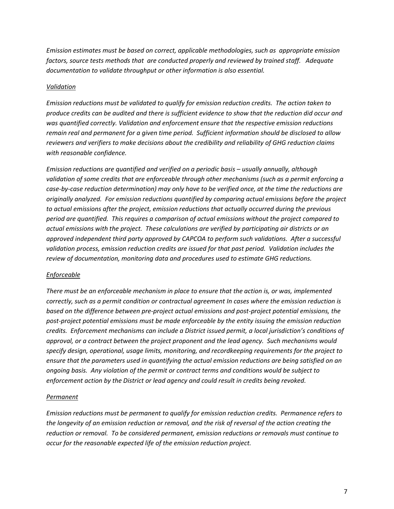*Emission estimates must be based on correct, applicable methodologies, such as appropriate emission factors, source tests methods that are conducted properly and reviewed by trained staff. Adequate documentation to validate throughput or other information is also essential.*

#### *Validation*

*Emission reductions must be validated to qualify for emission reduction credits. The action taken to produce credits can be audited and there is sufficient evidence to show that the reduction did occur and was quantified correctly. Validation and enforcement ensure that the respective emission reductions remain real and permanent for a given time period. Sufficient information should be disclosed to allow reviewers and verifiers to make decisions about the credibility and reliability of GHG reduction claims with reasonable confidence.*

*Emission reductions are quantified and verified on a periodic basis – usually annually, although validation of some credits that are enforceable through other mechanisms (such as a permit enforcing a case-by-case reduction determination) may only have to be verified once, at the time the reductions are originally analyzed. For emission reductions quantified by comparing actual emissions before the project to actual emissions after the project, emission reductions that actually occurred during the previous period are quantified. This requires a comparison of actual emissions without the project compared to actual emissions with the project. These calculations are verified by participating air districts or an approved independent third party approved by CAPCOA to perform such validations. After a successful validation process, emission reduction credits are issued for that past period. Validation includes the review of documentation, monitoring data and procedures used to estimate GHG reductions.* 

#### *Enforceable*

*There must be an enforceable mechanism in place to ensure that the action is, or was, implemented correctly, such as a permit condition or contractual agreement In cases where the emission reduction is based on the difference between pre-project actual emissions and post-project potential emissions, the post-project potential emissions must be made enforceable by the entity issuing the emission reduction credits. Enforcement mechanisms can include a District issued permit, a local jurisdiction's conditions of approval, or a contract between the project proponent and the lead agency. Such mechanisms would specify design, operational, usage limits, monitoring, and recordkeeping requirements for the project to ensure that the parameters used in quantifying the actual emission reductions are being satisfied on an ongoing basis. Any violation of the permit or contract terms and conditions would be subject to enforcement action by the District or lead agency and could result in credits being revoked.*

#### *Permanent*

*Emission reductions must be permanent to qualify for emission reduction credits. Permanence refers to the longevity of an emission reduction or removal, and the risk of reversal of the action creating the reduction or removal. To be considered permanent, emission reductions or removals must continue to occur for the reasonable expected life of the emission reduction project.*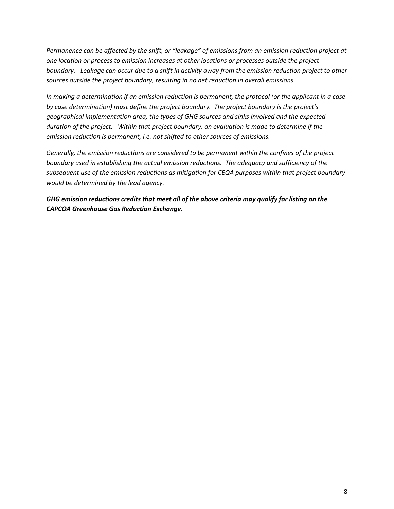*Permanence can be affected by the shift, or "leakage" of emissions from an emission reduction project at one location or process to emission increases at other locations or processes outside the project boundary. Leakage can occur due to a shift in activity away from the emission reduction project to other sources outside the project boundary, resulting in no net reduction in overall emissions.*

*In making a determination if an emission reduction is permanent, the protocol (or the applicant in a case by case determination) must define the project boundary. The project boundary is the project's geographical implementation area, the types of GHG sources and sinks involved and the expected duration of the project. Within that project boundary, an evaluation is made to determine if the emission reduction is permanent, i.e. not shifted to other sources of emissions.*

*Generally, the emission reductions are considered to be permanent within the confines of the project boundary used in establishing the actual emission reductions. The adequacy and sufficiency of the subsequent use of the emission reductions as mitigation for CEQA purposes within that project boundary would be determined by the lead agency.* 

*GHG emission reductions credits that meet all of the above criteria may qualify for listing on the CAPCOA Greenhouse Gas Reduction Exchange.*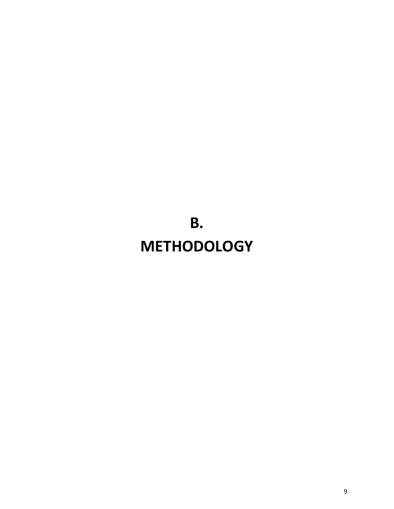<span id="page-11-0"></span>**B. METHODOLOGY**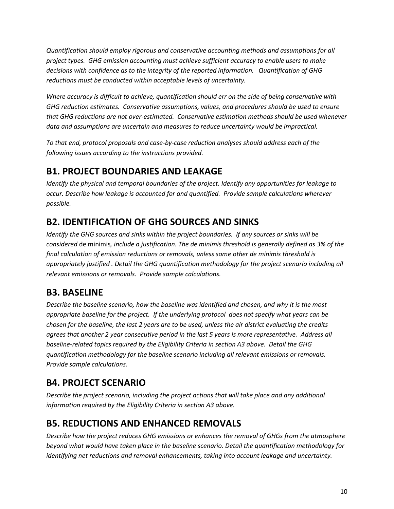*Quantification should employ rigorous and conservative accounting methods and assumptions for all project types. GHG emission accounting must achieve sufficient accuracy to enable users to make decisions with confidence as to the integrity of the reported information. Quantification of GHG reductions must be conducted within acceptable levels of uncertainty.*

*Where accuracy is difficult to achieve, quantification should err on the side of being conservative with GHG reduction estimates. Conservative assumptions, values, and procedures should be used to ensure that GHG reductions are not over-estimated. Conservative estimation methods should be used whenever data and assumptions are uncertain and measures to reduce uncertainty would be impractical.* 

*To that end, protocol proposals and case-by-case reduction analyses should address each of the following issues according to the instructions provided.*

### <span id="page-12-0"></span>**B1. PROJECT BOUNDARIES AND LEAKAGE**

*Identify the physical and temporal boundaries of the project. Identify any opportunities for leakage to occur. Describe how leakage is accounted for and quantified. Provide sample calculations wherever possible.*

## <span id="page-12-1"></span>**B2. IDENTIFICATION OF GHG SOURCES AND SINKS**

*Identify the GHG sources and sinks within the project boundaries. If any sources or sinks will be considered* de minimis*, include a justification. The de minimis threshold is generally defined as 3% of the final calculation of emission reductions or removals, unless some other de minimis threshold is appropriately justified . Detail the GHG quantification methodology for the project scenario including all relevant emissions or removals. Provide sample calculations.*

## <span id="page-12-2"></span>**B3. BASELINE**

*Describe the baseline scenario, how the baseline was identified and chosen, and why it is the most appropriate baseline for the project. If the underlying protocol does not specify what years can be chosen for the baseline, the last 2 years are to be used, unless the air district evaluating the credits agrees that another 2 year consecutive period in the last 5 years is more representative. Address all baseline-related topics required by the Eligibility Criteria in section A3 above. Detail the GHG quantification methodology for the baseline scenario including all relevant emissions or removals. Provide sample calculations.*

## <span id="page-12-3"></span>**B4. PROJECT SCENARIO**

*Describe the project scenario, including the project actions that will take place and any additional information required by the Eligibility Criteria in section A3 above.*

## <span id="page-12-4"></span>**B5. REDUCTIONS AND ENHANCED REMOVALS**

*Describe how the project reduces GHG emissions or enhances the removal of GHGs from the atmosphere beyond what would have taken place in the baseline scenario. Detail the quantification methodology for identifying net reductions and removal enhancements, taking into account leakage and uncertainty.*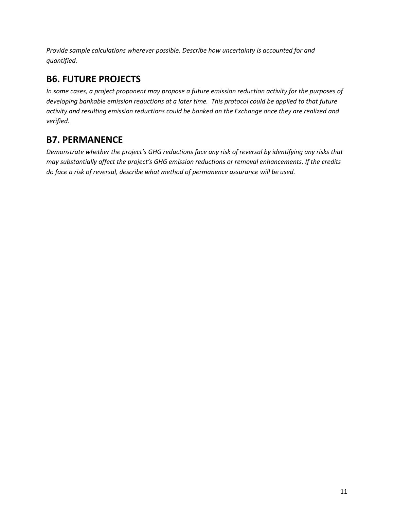*Provide sample calculations wherever possible. Describe how uncertainty is accounted for and quantified.* 

## <span id="page-13-0"></span>**B6. FUTURE PROJECTS**

*In some cases, a project proponent may propose a future emission reduction activity for the purposes of developing bankable emission reductions at a later time. This protocol could be applied to that future activity and resulting emission reductions could be banked on the Exchange once they are realized and verified.*

## <span id="page-13-1"></span>**B7. PERMANENCE**

*Demonstrate whether the project's GHG reductions face any risk of reversal by identifying any risks that may substantially affect the project's GHG emission reductions or removal enhancements. If the credits do face a risk of reversal, describe what method of permanence assurance will be used.*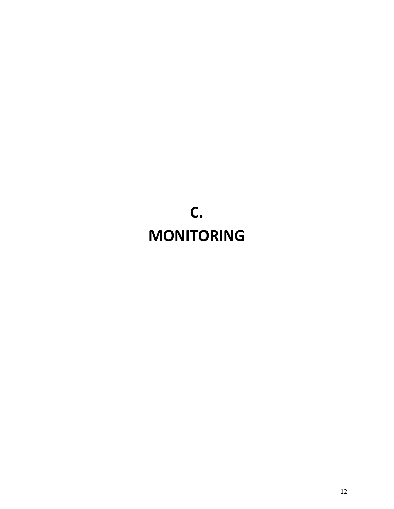# <span id="page-14-0"></span>**C. MONITORING**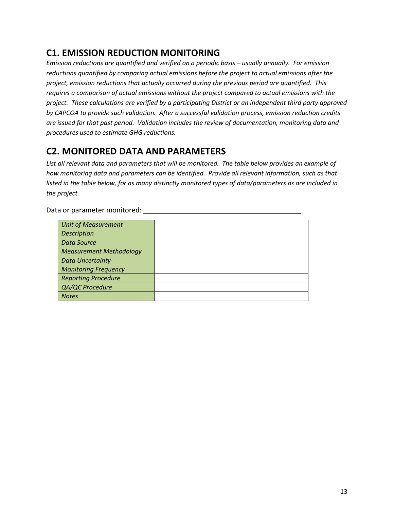### <span id="page-15-0"></span>**C1. EMISSION REDUCTION MONITORING**

*Emission reductions are quantified and verified on a periodic basis – usually annually. For emission reductions quantified by comparing actual emissions before the project to actual emissions after the project, emission reductions that actually occurred during the previous period are quantified. This requires a comparison of actual emissions without the project compared to actual emissions with the project. These calculations are verified by a participating District or an independent third party approved by CAPCOA to provide such validation. After a successful validation process, emission reduction credits are issued for that past period. Validation includes the review of documentation, monitoring data and procedures used to estimate GHG reductions.* 

### <span id="page-15-1"></span>**C2. MONITORED DATA AND PARAMETERS**

*List all relevant data and parameters that will be monitored. The table below provides an example of how monitoring data and parameters can be identified. Provide all relevant information, such as that listed in the table below, for as many distinctly monitored types of data/parameters as are included in the project.*

<span id="page-15-2"></span>*Unit of Measurement Description Data Source Measurement Methodology Data Uncertainty Monitoring Frequency Reporting Procedure QA/QC Procedure Notes*

Data or parameter monitored: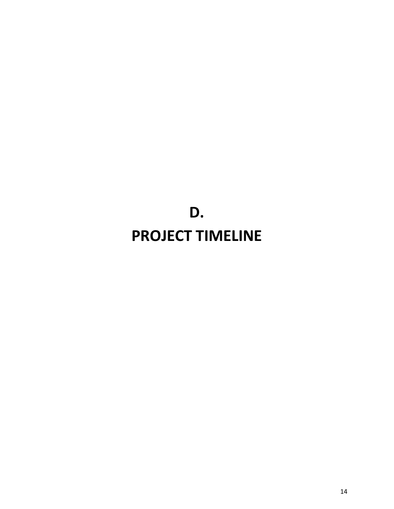# **D. PROJECT TIMELINE**